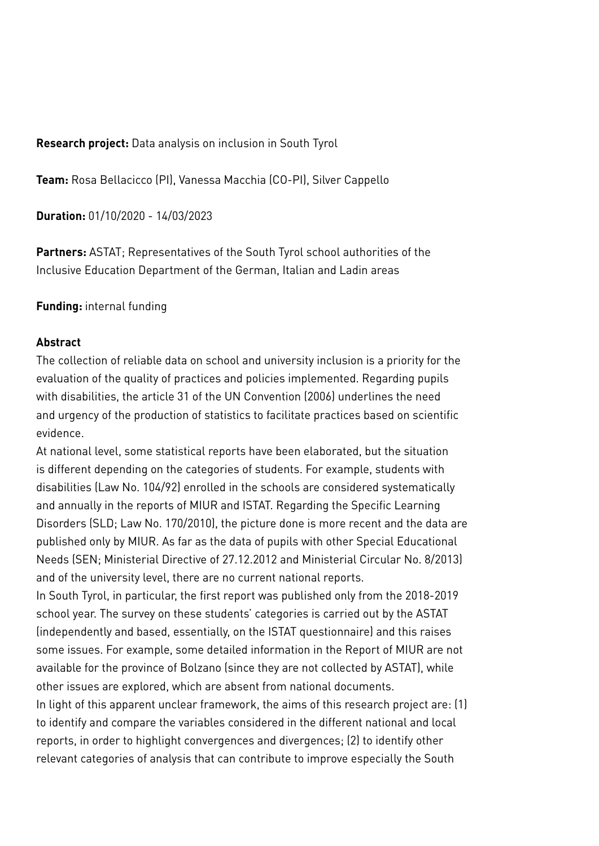**Research project:** Data analysis on inclusion in South Tyrol

**Team:** Rosa Bellacicco (PI), Vanessa Macchia (CO-PI), Silver Cappello

**Duration:** 01/10/2020 - 14/03/2023

**Partners:** ASTAT; Representatives of the South Tyrol school authorities of the Inclusive Education Department of the German, Italian and Ladin areas

## **Funding:** internal funding

## **Abstract**

The collection of reliable data on school and university inclusion is a priority for the evaluation of the quality of practices and policies implemented. Regarding pupils with disabilities, the article 31 of the UN Convention (2006) underlines the need and urgency of the production of statistics to facilitate practices based on scientific evidence.

At national level, some statistical reports have been elaborated, but the situation is different depending on the categories of students. For example, students with disabilities (Law No. 104/92) enrolled in the schools are considered systematically and annually in the reports of MIUR and ISTAT. Regarding the Specific Learning Disorders (SLD; Law No. 170/2010), the picture done is more recent and the data are published only by MIUR. As far as the data of pupils with other Special Educational Needs (SEN; Ministerial Directive of 27.12.2012 and Ministerial Circular No. 8/2013) and of the university level, there are no current national reports.

In South Tyrol, in particular, the first report was published only from the 2018-2019 school year. The survey on these students' categories is carried out by the ASTAT (independently and based, essentially, on the ISTAT questionnaire) and this raises some issues. For example, some detailed information in the Report of MIUR are not available for the province of Bolzano (since they are not collected by ASTAT), while other issues are explored, which are absent from national documents.

In light of this apparent unclear framework, the aims of this research project are: (1) to identify and compare the variables considered in the different national and local reports, in order to highlight convergences and divergences; (2) to identify other relevant categories of analysis that can contribute to improve especially the South